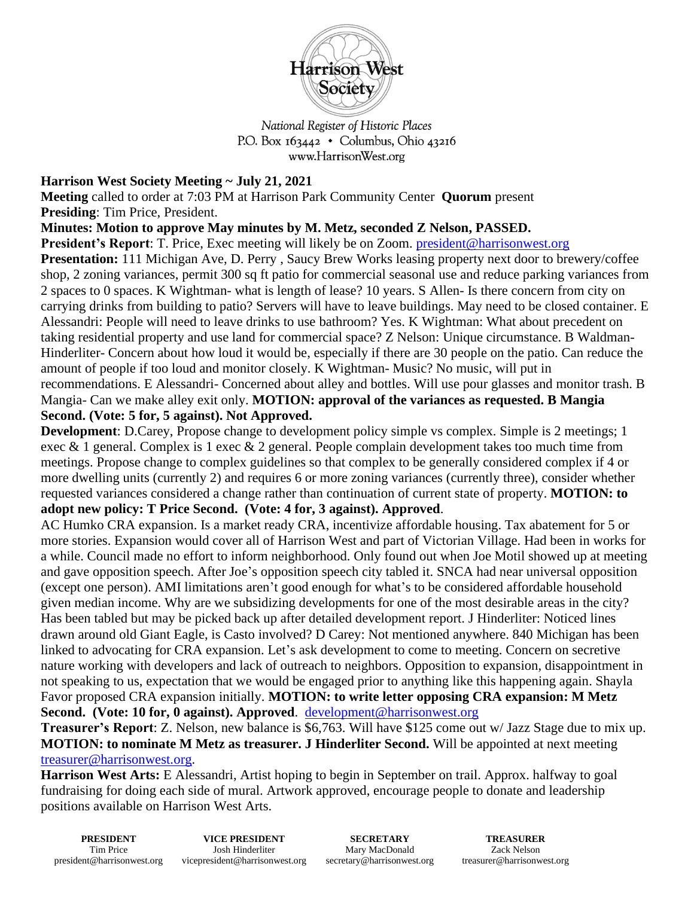

National Register of Historic Places P.O. Box  $163442 \cdot$  Columbus, Ohio 43216 www.HarrisonWest.org

## **Harrison West Society Meeting ~ July 21, 2021**

**Meeting** called to order at 7:03 PM at Harrison Park Community Center **Quorum** present **Presiding**: Tim Price, President.

**Minutes: Motion to approve May minutes by M. Metz, seconded Z Nelson, PASSED.** 

**President's Report:** T. Price, Exec meeting will likely be on Zoom. [president@harrisonwest.org](mailto:president@harrisonwest.org)

**Presentation:** 111 Michigan Ave, D. Perry , Saucy Brew Works leasing property next door to brewery/coffee shop, 2 zoning variances, permit 300 sq ft patio for commercial seasonal use and reduce parking variances from 2 spaces to 0 spaces. K Wightman- what is length of lease? 10 years. S Allen- Is there concern from city on carrying drinks from building to patio? Servers will have to leave buildings. May need to be closed container. E Alessandri: People will need to leave drinks to use bathroom? Yes. K Wightman: What about precedent on taking residential property and use land for commercial space? Z Nelson: Unique circumstance. B Waldman-Hinderliter- Concern about how loud it would be, especially if there are 30 people on the patio. Can reduce the amount of people if too loud and monitor closely. K Wightman- Music? No music, will put in recommendations. E Alessandri- Concerned about alley and bottles. Will use pour glasses and monitor trash. B Mangia- Can we make alley exit only. **MOTION: approval of the variances as requested. B Mangia Second. (Vote: 5 for, 5 against). Not Approved.**

**Development**: D.Carey, Propose change to development policy simple vs complex. Simple is 2 meetings; 1 exec & 1 general. Complex is 1 exec & 2 general. People complain development takes too much time from meetings. Propose change to complex guidelines so that complex to be generally considered complex if 4 or more dwelling units (currently 2) and requires 6 or more zoning variances (currently three), consider whether requested variances considered a change rather than continuation of current state of property. **MOTION: to adopt new policy: T Price Second. (Vote: 4 for, 3 against). Approved**.

AC Humko CRA expansion. Is a market ready CRA, incentivize affordable housing. Tax abatement for 5 or more stories. Expansion would cover all of Harrison West and part of Victorian Village. Had been in works for a while. Council made no effort to inform neighborhood. Only found out when Joe Motil showed up at meeting and gave opposition speech. After Joe's opposition speech city tabled it. SNCA had near universal opposition (except one person). AMI limitations aren't good enough for what's to be considered affordable household given median income. Why are we subsidizing developments for one of the most desirable areas in the city? Has been tabled but may be picked back up after detailed development report. J Hinderliter: Noticed lines drawn around old Giant Eagle, is Casto involved? D Carey: Not mentioned anywhere. 840 Michigan has been linked to advocating for CRA expansion. Let's ask development to come to meeting. Concern on secretive nature working with developers and lack of outreach to neighbors. Opposition to expansion, disappointment in not speaking to us, expectation that we would be engaged prior to anything like this happening again. Shayla Favor proposed CRA expansion initially. **MOTION: to write letter opposing CRA expansion: M Metz Second. (Vote: 10 for, 0 against). Approved**. [development@harrisonwest.org](mailto:development@harrisonwest.org)

**Treasurer's Report**: Z. Nelson, new balance is \$6,763. Will have \$125 come out w/ Jazz Stage due to mix up. **MOTION: to nominate M Metz as treasurer. J Hinderliter Second.** Will be appointed at next meeting [treasurer@harrisonwest.org.](mailto:treasurer@harrisonwest.org)

**Harrison West Arts:** E Alessandri, Artist hoping to begin in September on trail. Approx. halfway to goal fundraising for doing each side of mural. Artwork approved, encourage people to donate and leadership positions available on Harrison West Arts.

**PRESIDENT** Tim Price president@harrisonwest.org **VICE PRESIDENT** Josh Hinderliter vicepresident@harrisonwest.org **SECRETARY** Mary MacDonald secretary@harrisonwest.org

**TREASURER** Zack Nelson treasurer@harrisonwest.org